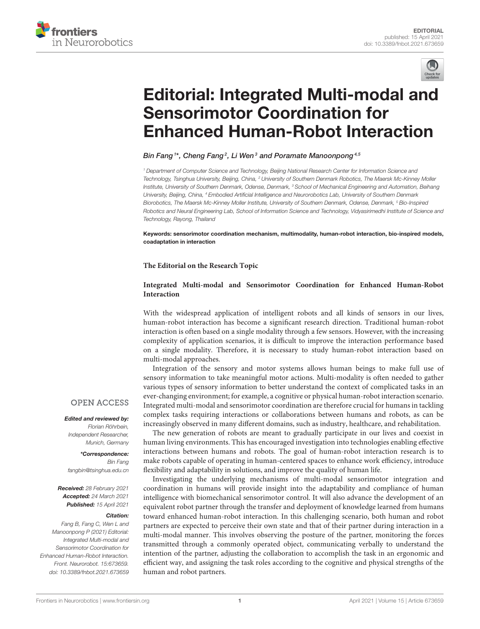



# [Editorial: Integrated Multi-modal and](https://www.frontiersin.org/articles/10.3389/fnbot.2021.673659/full) Sensorimotor Coordination for Enhanced Human-Robot Interaction

Bin Fang1\*, Cheng Fang<sup>2</sup>, Li Wen<sup>3</sup> and Poramate Manoonpong<sup>4,5</sup>

<sup>1</sup> Department of Computer Science and Technology, Beijing National Research Center for Information Science and Technology, Tsinghua University, Beijing, China, <sup>2</sup> University of Southern Denmark Robotics, The Maersk Mc-Kinney Moller Institute, University of Southern Denmark, Odense, Denmark, <sup>3</sup> School of Mechanical Engineering and Automation, Beihang University, Beijing, China, <sup>4</sup> Embodied Artificial Intelligence and Neurorobotics Lab, University of Southern Denmark Biorobotics, The Maersk Mc-Kinney Moller Institute, University of Southern Denmark, Odense, Denmark, <sup>5</sup> Bio-Inspired Robotics and Neural Engineering Lab, School of Information Science and Technology, Vidyasirimedhi Institute of Science and Technology, Rayong, Thailand

Keywords: sensorimotor coordination mechanism, multimodality, human-robot interaction, bio-inspired models, coadaptation in interaction

#### **The Editorial on the Research Topic**

### **[Integrated Multi-modal and Sensorimotor Coordination for Enhanced Human-Robot](https://www.frontiersin.org/research-topics/10810/integrated-multi-modal-and-sensorimotor-coordination-for-enhanced-human-robot-interaction) Interaction**

With the widespread application of intelligent robots and all kinds of sensors in our lives, human-robot interaction has become a significant research direction. Traditional human-robot interaction is often based on a single modality through a few sensors. However, with the increasing complexity of application scenarios, it is difficult to improve the interaction performance based on a single modality. Therefore, it is necessary to study human-robot interaction based on multi-modal approaches.

Integration of the sensory and motor systems allows human beings to make full use of sensory information to take meaningful motor actions. Multi-modality is often needed to gather various types of sensory information to better understand the context of complicated tasks in an ever-changing environment; for example, a cognitive or physical human-robot interaction scenario. Integrated multi-modal and sensorimotor coordination are therefore crucial for humans in tackling complex tasks requiring interactions or collaborations between humans and robots, as can be increasingly observed in many different domains, such as industry, healthcare, and rehabilitation.

The new generation of robots are meant to gradually participate in our lives and coexist in human living environments. This has encouraged investigation into technologies enabling effective interactions between humans and robots. The goal of human-robot interaction research is to make robots capable of operating in human-centered spaces to enhance work efficiency, introduce flexibility and adaptability in solutions, and improve the quality of human life.

Investigating the underlying mechanisms of multi-modal sensorimotor integration and coordination in humans will provide insight into the adaptability and compliance of human intelligence with biomechanical sensorimotor control. It will also advance the development of an equivalent robot partner through the transfer and deployment of knowledge learned from humans toward enhanced human-robot interaction. In this challenging scenario, both human and robot partners are expected to perceive their own state and that of their partner during interaction in a multi-modal manner. This involves observing the posture of the partner, monitoring the forces transmitted through a commonly operated object, communicating verbally to understand the intention of the partner, adjusting the collaboration to accomplish the task in an ergonomic and efficient way, and assigning the task roles according to the cognitive and physical strengths of the human and robot partners.

## **OPEN ACCESS**

Edited and reviewed by: Florian Röhrbein, Independent Researcher, Munich, Germany

\*Correspondence:

Bin Fang [fangbin@tsinghua.edu.cn](mailto:fangbin@tsinghua.edu.cn)

Received: 28 February 2021 Accepted: 24 March 2021 Published: 15 April 2021

#### Citation:

Fang B, Fang C, Wen L and Manoonpong P (2021) Editorial: Integrated Multi-modal and Sensorimotor Coordination for Enhanced Human-Robot Interaction. Front. Neurorobot. 15:673659. doi: [10.3389/fnbot.2021.673659](https://doi.org/10.3389/fnbot.2021.673659)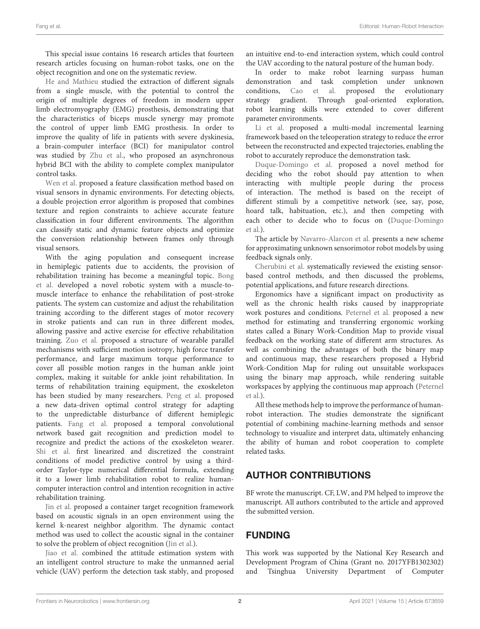This special issue contains 16 research articles that fourteen research articles focusing on human-robot tasks, one on the object recognition and one on the systematic review.

[He and Mathieu](https://doi.org/10.3389/fnbot.2019.00100) studied the extraction of different signals from a single muscle, with the potential to control the origin of multiple degrees of freedom in modern upper limb electromyography (EMG) prosthesis, demonstrating that the characteristics of biceps muscle synergy may promote the control of upper limb EMG prosthesis. In order to improve the quality of life in patients with severe dyskinesia, a brain-computer interface (BCI) for manipulator control was studied by [Zhu et al.,](https://doi.org/10.3389/fnbot.2020.583641) who proposed an asynchronous hybrid BCI with the ability to complete complex manipulator control tasks.

[Wen et al.](https://doi.org/10.3389/fnbot.2019.00105) proposed a feature classification method based on visual sensors in dynamic environments. For detecting objects, a double projection error algorithm is proposed that combines texture and region constraints to achieve accurate feature classification in four different environments. The algorithm can classify static and dynamic feature objects and optimize the conversion relationship between frames only through visual sensors.

With the aging population and consequent increase in hemiplegic patients due to accidents, the provision of [rehabilitation training has become a meaningful topic.](https://doi.org/10.3389/fnbot.2020.00003) Bong et al. developed a novel robotic system with a muscle-tomuscle interface to enhance the rehabilitation of post-stroke patients. The system can customize and adjust the rehabilitation training according to the different stages of motor recovery in stroke patients and can run in three different modes, allowing passive and active exercise for effective rehabilitation training. [Zuo et al.](https://doi.org/10.3389/fnbot.2020.00009) proposed a structure of wearable parallel mechanisms with sufficient motion isotropy, high force transfer performance, and large maximum torque performance to cover all possible motion ranges in the human ankle joint complex, making it suitable for ankle joint rehabilitation. In terms of rehabilitation training equipment, the exoskeleton has been studied by many researchers. [Peng et al.](https://doi.org/10.3389/fnbot.2020.00037) proposed a new data-driven optimal control strategy for adapting to the unpredictable disturbance of different hemiplegic patients. [Fang et al.](https://doi.org/10.3389/fnbot.2020.00058) proposed a temporal convolutional network based gait recognition and prediction model to recognize and predict the actions of the exoskeleton wearer. [Shi et al.](https://doi.org/10.3389/fnbot.2020.559048) first linearized and discretized the constraint conditions of model predictive control by using a thirdorder Taylor-type numerical differential formula, extending it to a lower limb rehabilitation robot to realize humancomputer interaction control and intention recognition in active rehabilitation training.

[Jin et al.](https://doi.org/10.3389/fnbot.2019.00096) proposed a container target recognition framework based on acoustic signals in an open environment using the kernel k-nearest neighbor algorithm. The dynamic contact method was used to collect the acoustic signal in the container to solve the problem of object recognition [\(Jin et al.\)](https://doi.org/10.3389/fnbot.2019.00096).

[Jiao et al.](https://doi.org/10.3389/fnbot.2019.00117) combined the attitude estimation system with an intelligent control structure to make the unmanned aerial vehicle (UAV) perform the detection task stably, and proposed

an intuitive end-to-end interaction system, which could control the UAV according to the natural posture of the human body.

In order to make robot learning surpass human demonstration and task completion under unknown conditions, [Cao et al.](https://doi.org/10.3389/fnbot.2020.00021) proposed the evolutionary strategy gradient. Through goal-oriented exploration, robot learning skills were extended to cover different parameter environments.

[Li et al.](https://doi.org/10.3389/fnbot.2020.00055) proposed a multi-modal incremental learning framework based on the teleoperation strategy to reduce the error between the reconstructed and expected trajectories, enabling the robot to accurately reproduce the demonstration task.

[Duque-Domingo et al.](https://doi.org/10.3389/fnbot.2020.00034) proposed a novel method for deciding who the robot should pay attention to when interacting with multiple people during the process of interaction. The method is based on the receipt of different stimuli by a competitive network (see, say, pose, hoard talk, habituation, etc.), and then competing with [each other to decide who to focus on \(Duque-Domingo](https://doi.org/10.3389/fnbot.2020.00034) et al.).

The article by [Navarro-Alarcon et al.](https://doi.org/10.3389/fnbot.2020.00059) presents a new scheme for approximating unknown sensorimotor robot models by using feedback signals only.

[Cherubini et al.](https://doi.org/10.3389/fnbot.2020.576846) systematically reviewed the existing sensorbased control methods, and then discussed the problems, potential applications, and future research directions.

Ergonomics have a significant impact on productivity as well as the chronic health risks caused by inappropriate work postures and conditions. [Peternel et al.](https://doi.org/10.3389/fnbot.2020.590241) proposed a new method for estimating and transferring ergonomic working states called a Binary Work-Condition Map to provide visual feedback on the working state of different arm structures. As well as combining the advantages of both the binary map and continuous map, these researchers proposed a Hybrid Work-Condition Map for ruling out unsuitable workspaces using the binary map approach, while rendering suitable [workspaces by applying the continuous map approach \(Peternel](https://doi.org/10.3389/fnbot.2020.590241) et al.).

All these methods help to improve the performance of humanrobot interaction. The studies demonstrate the significant potential of combining machine-learning methods and sensor technology to visualize and interpret data, ultimately enhancing the ability of human and robot cooperation to complete related tasks.

# AUTHOR CONTRIBUTIONS

BF wrote the manuscript. CF, LW, and PM helped to improve the manuscript. All authors contributed to the article and approved the submitted version.

# FUNDING

This work was supported by the National Key Research and Development Program of China (Grant no. 2017YFB1302302) and Tsinghua University Department of Computer